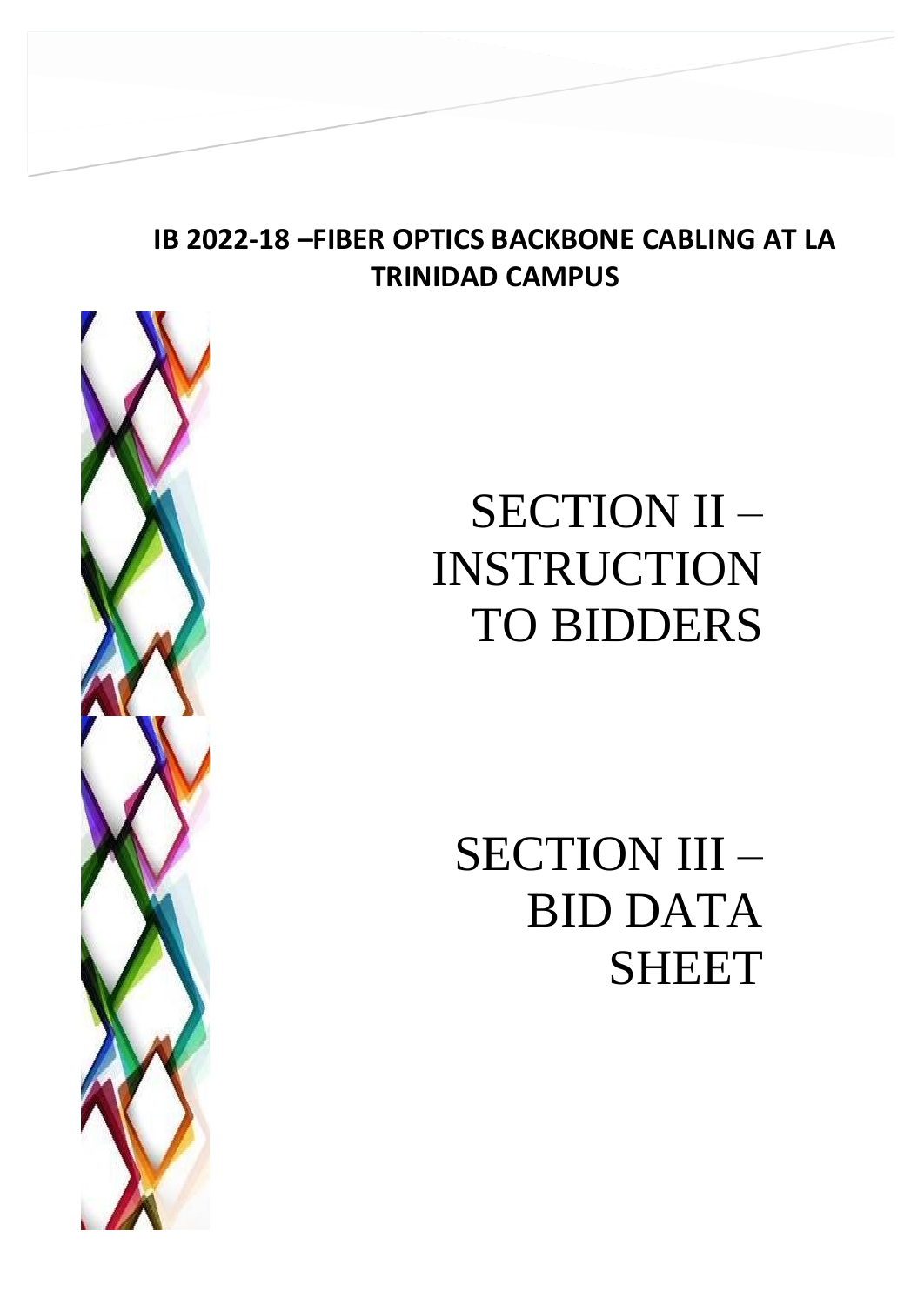## **IB 2022-18 –FIBER OPTICS BACKBONE CABLING AT LA TRINIDAD CAMPUS**



# SECTION II – INSTRUCTION TO BIDDERS

SECTION III – BID DATA SHEET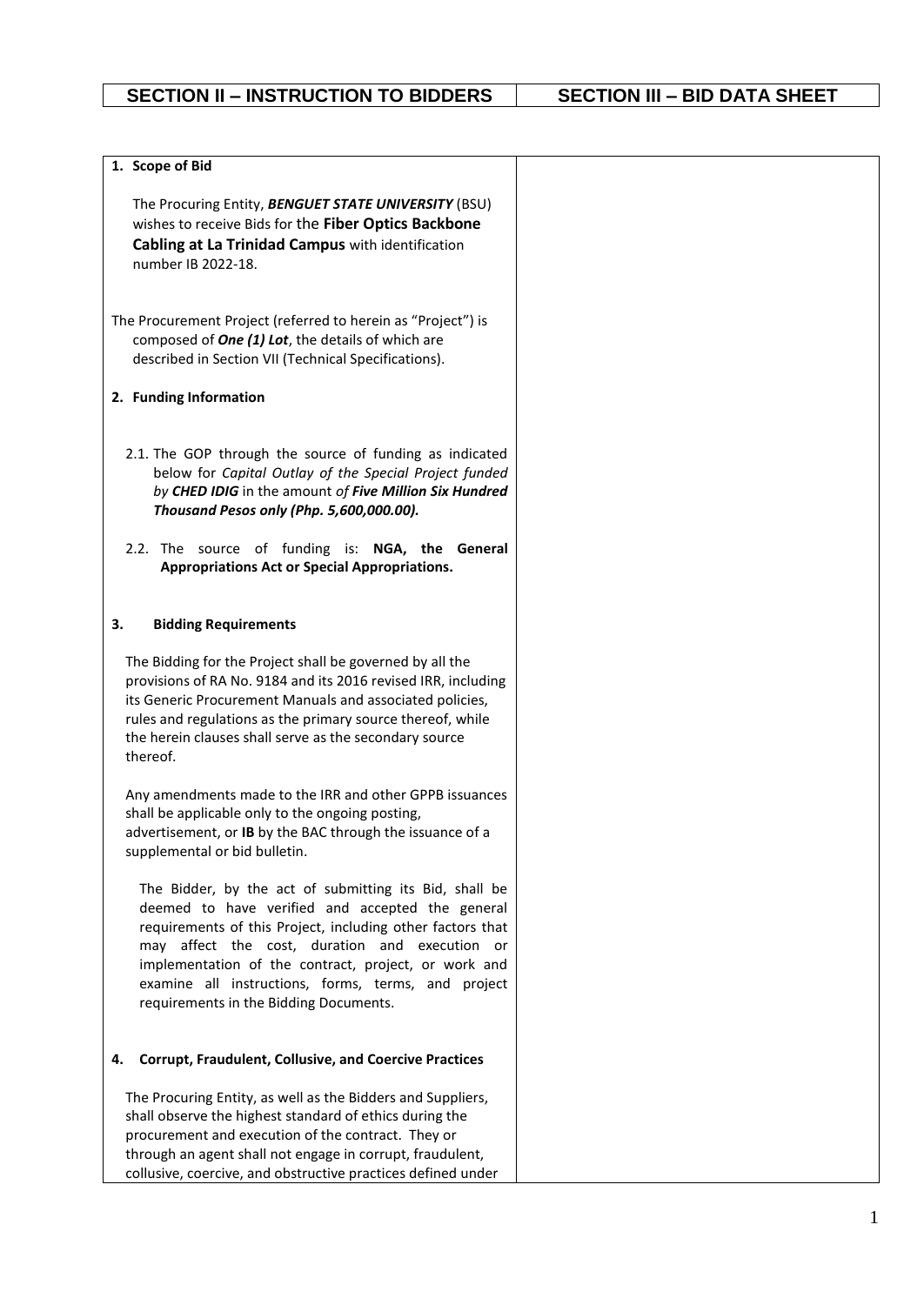| 1. Scope of Bid                                                                                                                                                                                                                                                                                                                                                                     |
|-------------------------------------------------------------------------------------------------------------------------------------------------------------------------------------------------------------------------------------------------------------------------------------------------------------------------------------------------------------------------------------|
| The Procuring Entity, BENGUET STATE UNIVERSITY (BSU)<br>wishes to receive Bids for the Fiber Optics Backbone<br>Cabling at La Trinidad Campus with identification<br>number IB 2022-18.                                                                                                                                                                                             |
| The Procurement Project (referred to herein as "Project") is<br>composed of One (1) Lot, the details of which are<br>described in Section VII (Technical Specifications).                                                                                                                                                                                                           |
| 2. Funding Information                                                                                                                                                                                                                                                                                                                                                              |
| 2.1. The GOP through the source of funding as indicated<br>below for Capital Outlay of the Special Project funded<br>by CHED IDIG in the amount of Five Million Six Hundred<br>Thousand Pesos only (Php. 5,600,000.00).<br>2.2. The source of funding is: NGA, the General<br><b>Appropriations Act or Special Appropriations.</b>                                                  |
|                                                                                                                                                                                                                                                                                                                                                                                     |
| 3.<br><b>Bidding Requirements</b>                                                                                                                                                                                                                                                                                                                                                   |
| The Bidding for the Project shall be governed by all the<br>provisions of RA No. 9184 and its 2016 revised IRR, including<br>its Generic Procurement Manuals and associated policies,<br>rules and regulations as the primary source thereof, while<br>the herein clauses shall serve as the secondary source<br>thereof.                                                           |
| Any amendments made to the IRR and other GPPB issuances<br>shall be applicable only to the ongoing posting,<br>advertisement, or IB by the BAC through the issuance of a<br>supplemental or bid bulletin.                                                                                                                                                                           |
| The Bidder, by the act of submitting its Bid, shall be<br>deemed to have verified and accepted the general<br>requirements of this Project, including other factors that<br>may affect the cost, duration and execution or<br>implementation of the contract, project, or work and<br>examine all instructions, forms, terms, and project<br>requirements in the Bidding Documents. |
| <b>Corrupt, Fraudulent, Collusive, and Coercive Practices</b><br>4.                                                                                                                                                                                                                                                                                                                 |
| The Procuring Entity, as well as the Bidders and Suppliers,<br>shall observe the highest standard of ethics during the<br>procurement and execution of the contract. They or<br>through an agent shall not engage in corrupt, fraudulent,<br>collusive, coercive, and obstructive practices defined under                                                                           |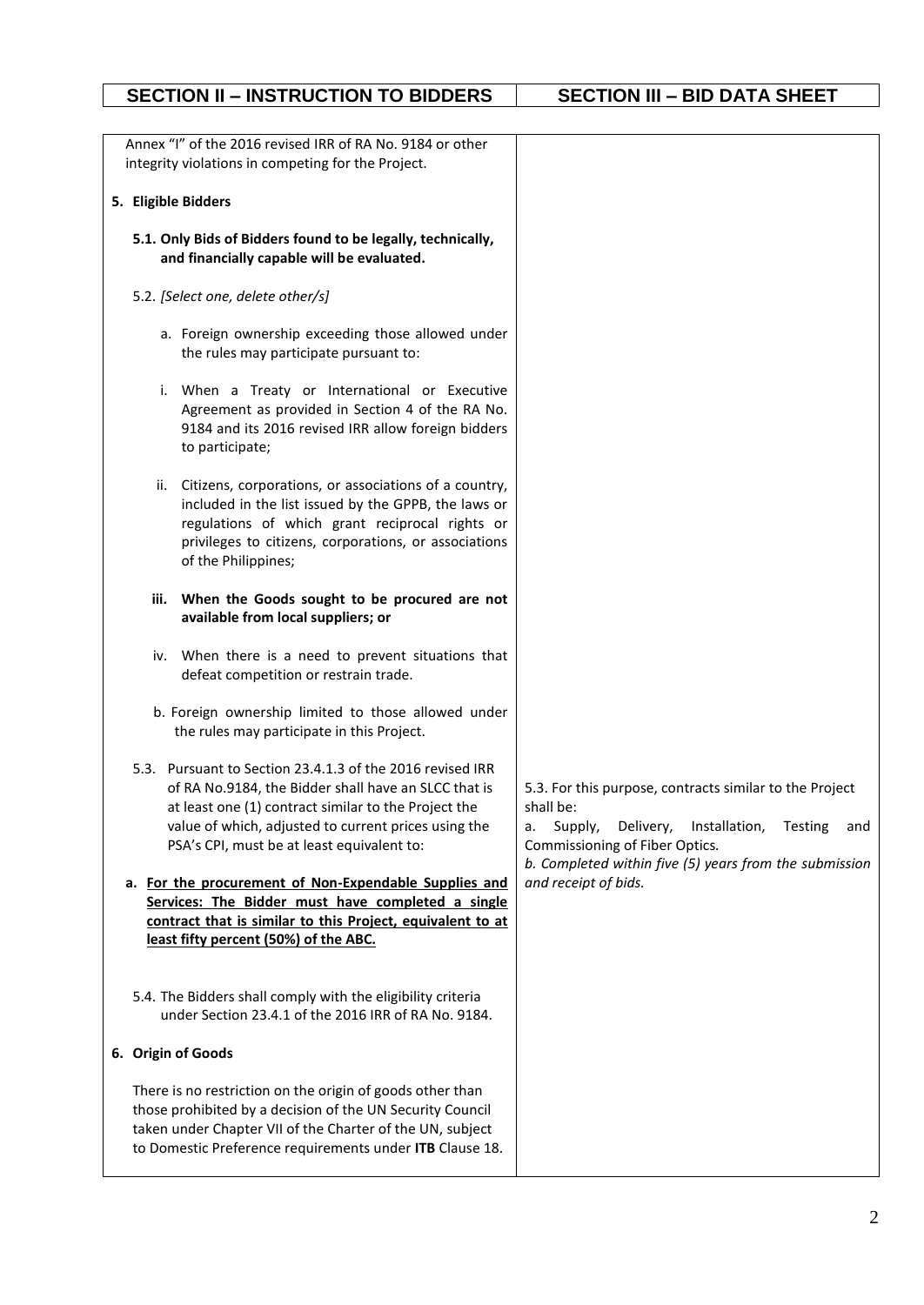|                     | Annex "I" of the 2016 revised IRR of RA No. 9184 or other<br>integrity violations in competing for the Project.                                                                                                                                                                 |                                                                                                                                                                                                                                   |
|---------------------|---------------------------------------------------------------------------------------------------------------------------------------------------------------------------------------------------------------------------------------------------------------------------------|-----------------------------------------------------------------------------------------------------------------------------------------------------------------------------------------------------------------------------------|
| 5. Eligible Bidders |                                                                                                                                                                                                                                                                                 |                                                                                                                                                                                                                                   |
|                     | 5.1. Only Bids of Bidders found to be legally, technically,<br>and financially capable will be evaluated.                                                                                                                                                                       |                                                                                                                                                                                                                                   |
|                     | 5.2. [Select one, delete other/s]                                                                                                                                                                                                                                               |                                                                                                                                                                                                                                   |
|                     | a. Foreign ownership exceeding those allowed under<br>the rules may participate pursuant to:                                                                                                                                                                                    |                                                                                                                                                                                                                                   |
|                     | i. When a Treaty or International or Executive<br>Agreement as provided in Section 4 of the RA No.<br>9184 and its 2016 revised IRR allow foreign bidders<br>to participate;                                                                                                    |                                                                                                                                                                                                                                   |
|                     | ii. Citizens, corporations, or associations of a country,<br>included in the list issued by the GPPB, the laws or<br>regulations of which grant reciprocal rights or<br>privileges to citizens, corporations, or associations<br>of the Philippines;                            |                                                                                                                                                                                                                                   |
| iii.                | When the Goods sought to be procured are not<br>available from local suppliers; or                                                                                                                                                                                              |                                                                                                                                                                                                                                   |
|                     | iv. When there is a need to prevent situations that<br>defeat competition or restrain trade.                                                                                                                                                                                    |                                                                                                                                                                                                                                   |
|                     | b. Foreign ownership limited to those allowed under<br>the rules may participate in this Project.                                                                                                                                                                               |                                                                                                                                                                                                                                   |
|                     | 5.3. Pursuant to Section 23.4.1.3 of the 2016 revised IRR<br>of RA No.9184, the Bidder shall have an SLCC that is<br>at least one (1) contract similar to the Project the<br>value of which, adjusted to current prices using the<br>PSA's CPI, must be at least equivalent to: | 5.3. For this purpose, contracts similar to the Project<br>shall be:<br>Supply,<br>Delivery,<br>Installation,<br>Testing<br>а.<br>and<br>Commissioning of Fiber Optics.<br>b. Completed within five (5) years from the submission |
|                     | a. For the procurement of Non-Expendable Supplies and<br>Services: The Bidder must have completed a single<br>contract that is similar to this Project, equivalent to at<br>least fifty percent (50%) of the ABC.                                                               | and receipt of bids.                                                                                                                                                                                                              |
|                     | 5.4. The Bidders shall comply with the eligibility criteria<br>under Section 23.4.1 of the 2016 IRR of RA No. 9184.                                                                                                                                                             |                                                                                                                                                                                                                                   |
| 6. Origin of Goods  |                                                                                                                                                                                                                                                                                 |                                                                                                                                                                                                                                   |
|                     | There is no restriction on the origin of goods other than<br>those prohibited by a decision of the UN Security Council<br>taken under Chapter VII of the Charter of the UN, subject<br>to Domestic Preference requirements under ITB Clause 18.                                 |                                                                                                                                                                                                                                   |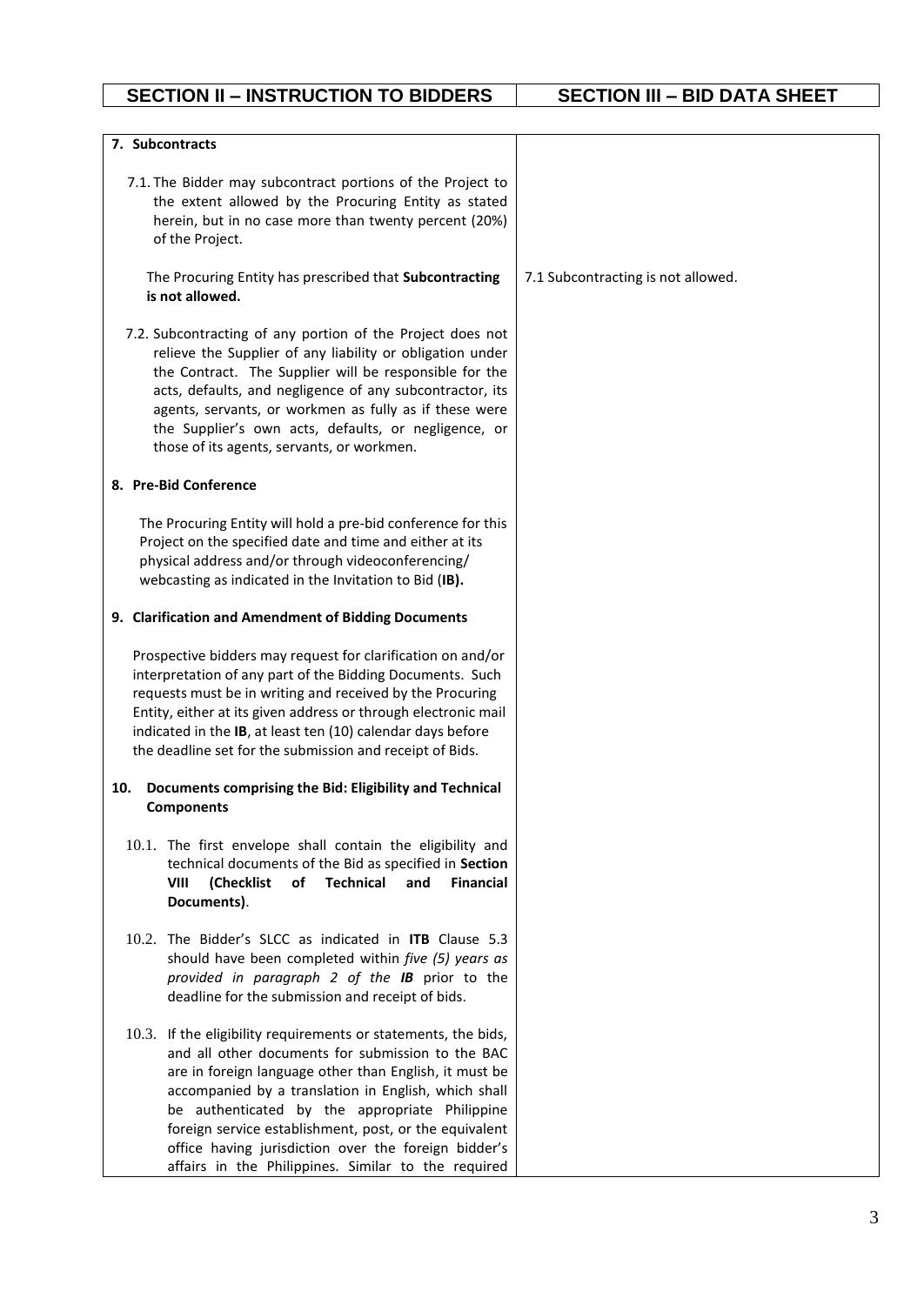| 7. Subcontracts                                                                                                                                                                                                                                                                                                                                                                                                                                                  |                                    |
|------------------------------------------------------------------------------------------------------------------------------------------------------------------------------------------------------------------------------------------------------------------------------------------------------------------------------------------------------------------------------------------------------------------------------------------------------------------|------------------------------------|
|                                                                                                                                                                                                                                                                                                                                                                                                                                                                  |                                    |
| 7.1. The Bidder may subcontract portions of the Project to<br>the extent allowed by the Procuring Entity as stated<br>herein, but in no case more than twenty percent (20%)<br>of the Project.                                                                                                                                                                                                                                                                   |                                    |
| The Procuring Entity has prescribed that Subcontracting<br>is not allowed.                                                                                                                                                                                                                                                                                                                                                                                       | 7.1 Subcontracting is not allowed. |
| 7.2. Subcontracting of any portion of the Project does not<br>relieve the Supplier of any liability or obligation under<br>the Contract. The Supplier will be responsible for the<br>acts, defaults, and negligence of any subcontractor, its<br>agents, servants, or workmen as fully as if these were<br>the Supplier's own acts, defaults, or negligence, or<br>those of its agents, servants, or workmen.                                                    |                                    |
| 8. Pre-Bid Conference                                                                                                                                                                                                                                                                                                                                                                                                                                            |                                    |
| The Procuring Entity will hold a pre-bid conference for this<br>Project on the specified date and time and either at its<br>physical address and/or through videoconferencing/<br>webcasting as indicated in the Invitation to Bid (IB).                                                                                                                                                                                                                         |                                    |
| 9. Clarification and Amendment of Bidding Documents                                                                                                                                                                                                                                                                                                                                                                                                              |                                    |
| Prospective bidders may request for clarification on and/or<br>interpretation of any part of the Bidding Documents. Such<br>requests must be in writing and received by the Procuring<br>Entity, either at its given address or through electronic mail<br>indicated in the IB, at least ten (10) calendar days before<br>the deadline set for the submission and receipt of Bids.                                                                               |                                    |
| Documents comprising the Bid: Eligibility and Technical<br>10.<br><b>Components</b>                                                                                                                                                                                                                                                                                                                                                                              |                                    |
| 10.1. The first envelope shall contain the eligibility and<br>technical documents of the Bid as specified in Section<br>VIII<br><b>Technical</b><br><b>Financial</b><br>(Checklist)<br>of<br>and<br>Documents).                                                                                                                                                                                                                                                  |                                    |
| 10.2. The Bidder's SLCC as indicated in <b>ITB</b> Clause 5.3<br>should have been completed within five (5) years as<br>provided in paragraph 2 of the IB prior to the<br>deadline for the submission and receipt of bids.                                                                                                                                                                                                                                       |                                    |
| 10.3. If the eligibility requirements or statements, the bids,<br>and all other documents for submission to the BAC<br>are in foreign language other than English, it must be<br>accompanied by a translation in English, which shall<br>be authenticated by the appropriate Philippine<br>foreign service establishment, post, or the equivalent<br>office having jurisdiction over the foreign bidder's<br>affairs in the Philippines. Similar to the required |                                    |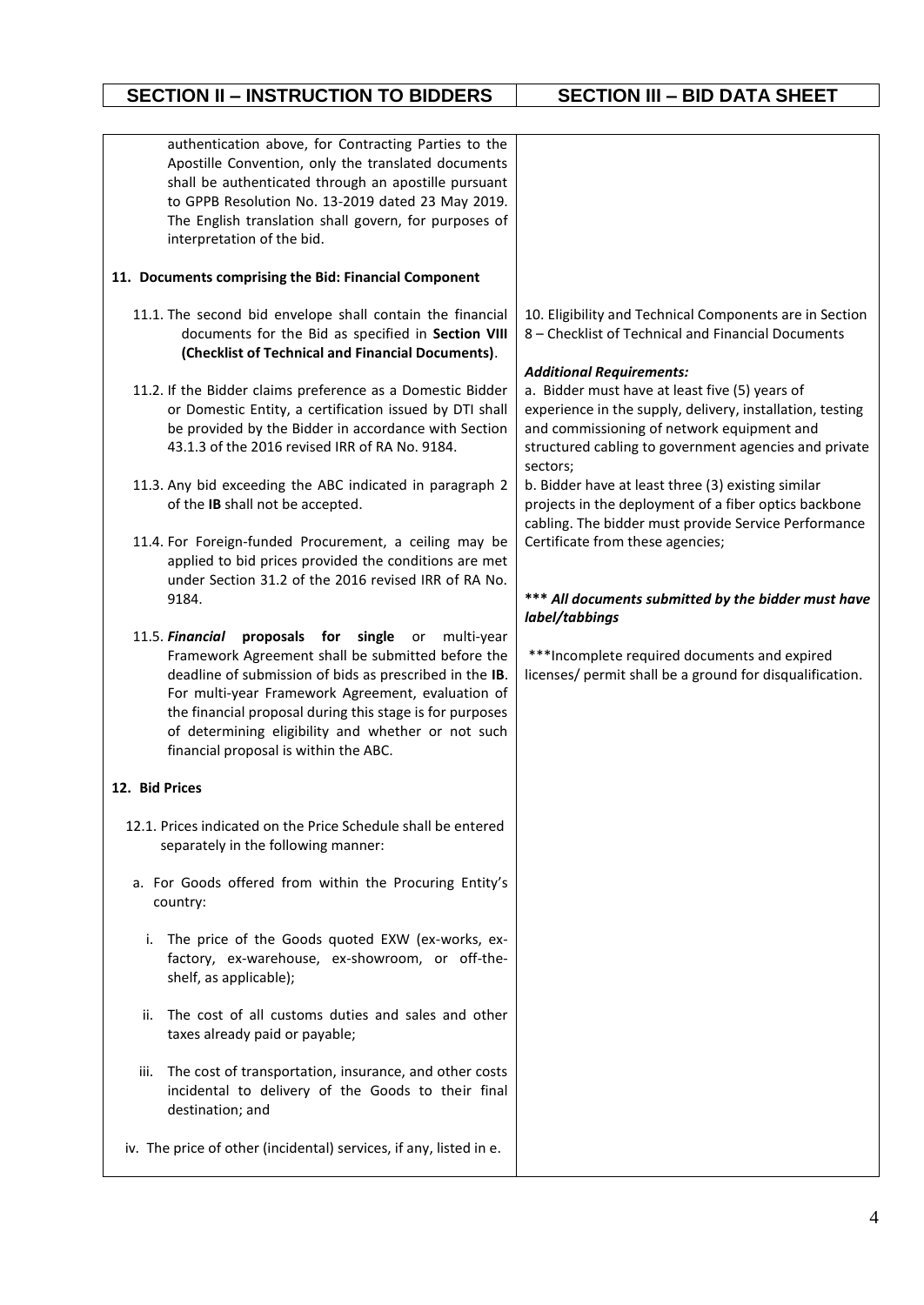| authentication above, for Contracting Parties to the<br>Apostille Convention, only the translated documents<br>shall be authenticated through an apostille pursuant<br>to GPPB Resolution No. 13-2019 dated 23 May 2019.<br>The English translation shall govern, for purposes of<br>interpretation of the bid.                                                                                                                                                                                                                                                                                                                                                                                                                                                                                                                                                                                                                                                                                                                                                                                                                                                                                                                                                                                                                                                                                                                                                                                                             |                                                                                                                                                                                                                                                                                                                                                                                                                                                                                                                                                                                                                                                                                                                                                                                     |
|-----------------------------------------------------------------------------------------------------------------------------------------------------------------------------------------------------------------------------------------------------------------------------------------------------------------------------------------------------------------------------------------------------------------------------------------------------------------------------------------------------------------------------------------------------------------------------------------------------------------------------------------------------------------------------------------------------------------------------------------------------------------------------------------------------------------------------------------------------------------------------------------------------------------------------------------------------------------------------------------------------------------------------------------------------------------------------------------------------------------------------------------------------------------------------------------------------------------------------------------------------------------------------------------------------------------------------------------------------------------------------------------------------------------------------------------------------------------------------------------------------------------------------|-------------------------------------------------------------------------------------------------------------------------------------------------------------------------------------------------------------------------------------------------------------------------------------------------------------------------------------------------------------------------------------------------------------------------------------------------------------------------------------------------------------------------------------------------------------------------------------------------------------------------------------------------------------------------------------------------------------------------------------------------------------------------------------|
| 11. Documents comprising the Bid: Financial Component                                                                                                                                                                                                                                                                                                                                                                                                                                                                                                                                                                                                                                                                                                                                                                                                                                                                                                                                                                                                                                                                                                                                                                                                                                                                                                                                                                                                                                                                       |                                                                                                                                                                                                                                                                                                                                                                                                                                                                                                                                                                                                                                                                                                                                                                                     |
| 11.1. The second bid envelope shall contain the financial<br>documents for the Bid as specified in Section VIII<br>(Checklist of Technical and Financial Documents).<br>11.2. If the Bidder claims preference as a Domestic Bidder<br>or Domestic Entity, a certification issued by DTI shall<br>be provided by the Bidder in accordance with Section<br>43.1.3 of the 2016 revised IRR of RA No. 9184.<br>11.3. Any bid exceeding the ABC indicated in paragraph 2<br>of the IB shall not be accepted.<br>11.4. For Foreign-funded Procurement, a ceiling may be<br>applied to bid prices provided the conditions are met<br>under Section 31.2 of the 2016 revised IRR of RA No.<br>9184.<br>11.5. Financial proposals for single or<br>multi-year<br>Framework Agreement shall be submitted before the<br>deadline of submission of bids as prescribed in the IB.<br>For multi-year Framework Agreement, evaluation of<br>the financial proposal during this stage is for purposes<br>of determining eligibility and whether or not such<br>financial proposal is within the ABC.<br>12. Bid Prices<br>12.1. Prices indicated on the Price Schedule shall be entered<br>separately in the following manner:<br>a. For Goods offered from within the Procuring Entity's<br>country:<br>The price of the Goods quoted EXW (ex-works, ex-<br>i.<br>factory, ex-warehouse, ex-showroom, or off-the-<br>shelf, as applicable);<br>The cost of all customs duties and sales and other<br>ii.<br>taxes already paid or payable; | 10. Eligibility and Technical Components are in Section<br>8 - Checklist of Technical and Financial Documents<br><b>Additional Requirements:</b><br>a. Bidder must have at least five (5) years of<br>experience in the supply, delivery, installation, testing<br>and commissioning of network equipment and<br>structured cabling to government agencies and private<br>sectors;<br>b. Bidder have at least three (3) existing similar<br>projects in the deployment of a fiber optics backbone<br>cabling. The bidder must provide Service Performance<br>Certificate from these agencies;<br>*** All documents submitted by the bidder must have<br>label/tabbings<br>*** Incomplete required documents and expired<br>licenses/ permit shall be a ground for disqualification. |
| The cost of transportation, insurance, and other costs<br>iii.<br>incidental to delivery of the Goods to their final<br>destination; and                                                                                                                                                                                                                                                                                                                                                                                                                                                                                                                                                                                                                                                                                                                                                                                                                                                                                                                                                                                                                                                                                                                                                                                                                                                                                                                                                                                    |                                                                                                                                                                                                                                                                                                                                                                                                                                                                                                                                                                                                                                                                                                                                                                                     |
| iv. The price of other (incidental) services, if any, listed in e.                                                                                                                                                                                                                                                                                                                                                                                                                                                                                                                                                                                                                                                                                                                                                                                                                                                                                                                                                                                                                                                                                                                                                                                                                                                                                                                                                                                                                                                          |                                                                                                                                                                                                                                                                                                                                                                                                                                                                                                                                                                                                                                                                                                                                                                                     |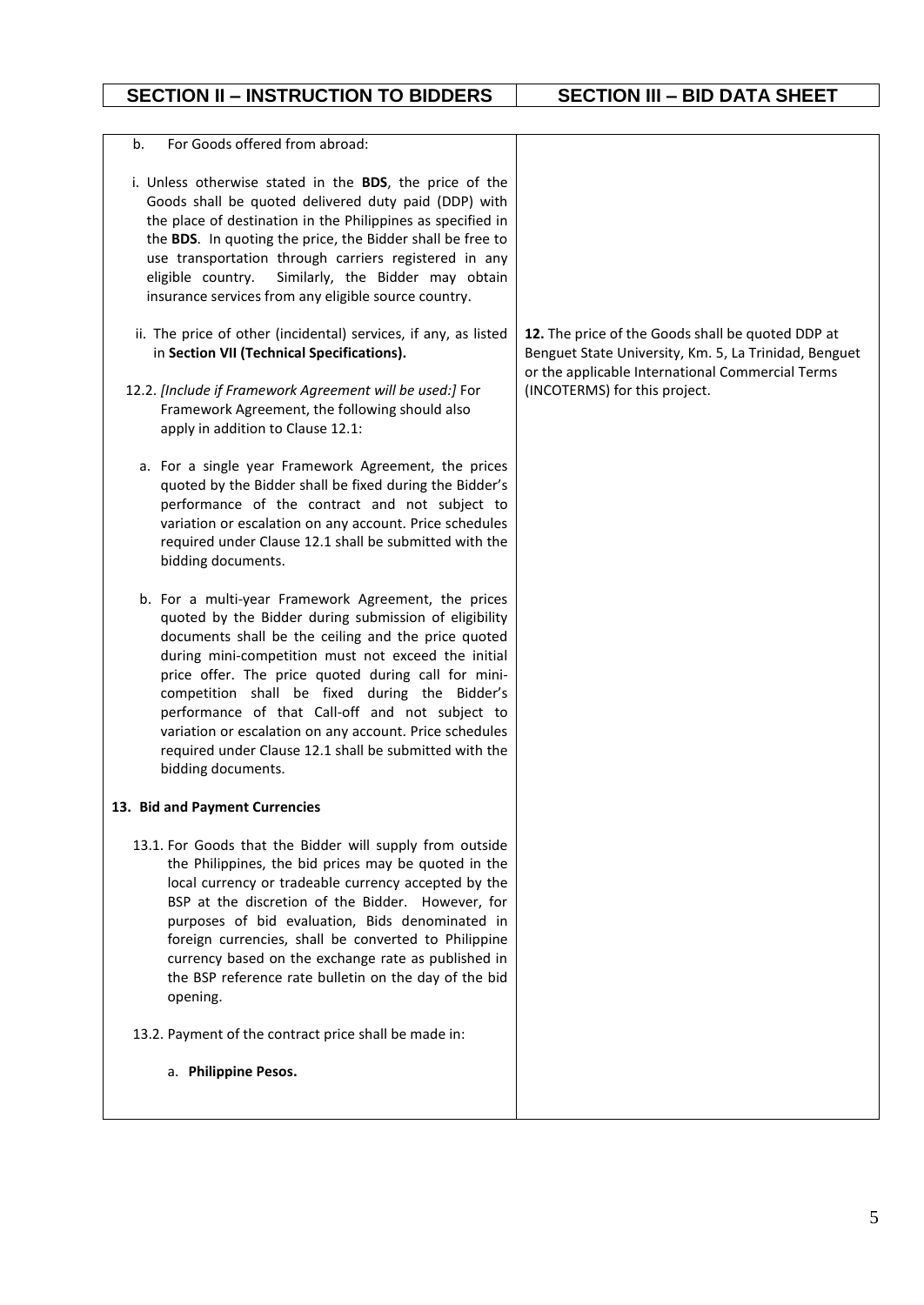| For Goods offered from abroad:<br>b.                                                                                                                                                                                                                                                                                                                                                                                                                                                                                              |                                                                                                                                                                |
|-----------------------------------------------------------------------------------------------------------------------------------------------------------------------------------------------------------------------------------------------------------------------------------------------------------------------------------------------------------------------------------------------------------------------------------------------------------------------------------------------------------------------------------|----------------------------------------------------------------------------------------------------------------------------------------------------------------|
| i. Unless otherwise stated in the BDS, the price of the<br>Goods shall be quoted delivered duty paid (DDP) with<br>the place of destination in the Philippines as specified in<br>the BDS. In quoting the price, the Bidder shall be free to<br>use transportation through carriers registered in any<br>eligible country.<br>Similarly, the Bidder may obtain<br>insurance services from any eligible source country.                                                                                                            |                                                                                                                                                                |
| ii. The price of other (incidental) services, if any, as listed<br>in Section VII (Technical Specifications).                                                                                                                                                                                                                                                                                                                                                                                                                     | 12. The price of the Goods shall be quoted DDP at<br>Benguet State University, Km. 5, La Trinidad, Benguet<br>or the applicable International Commercial Terms |
| 12.2. [Include if Framework Agreement will be used:] For<br>Framework Agreement, the following should also<br>apply in addition to Clause 12.1:                                                                                                                                                                                                                                                                                                                                                                                   | (INCOTERMS) for this project.                                                                                                                                  |
| a. For a single year Framework Agreement, the prices<br>quoted by the Bidder shall be fixed during the Bidder's<br>performance of the contract and not subject to<br>variation or escalation on any account. Price schedules<br>required under Clause 12.1 shall be submitted with the<br>bidding documents.                                                                                                                                                                                                                      |                                                                                                                                                                |
| b. For a multi-year Framework Agreement, the prices<br>quoted by the Bidder during submission of eligibility<br>documents shall be the ceiling and the price quoted<br>during mini-competition must not exceed the initial<br>price offer. The price quoted during call for mini-<br>competition shall be fixed during the Bidder's<br>performance of that Call-off and not subject to<br>variation or escalation on any account. Price schedules<br>required under Clause 12.1 shall be submitted with the<br>bidding documents. |                                                                                                                                                                |
| 13. Bid and Payment Currencies                                                                                                                                                                                                                                                                                                                                                                                                                                                                                                    |                                                                                                                                                                |
| 13.1. For Goods that the Bidder will supply from outside<br>the Philippines, the bid prices may be quoted in the<br>local currency or tradeable currency accepted by the<br>BSP at the discretion of the Bidder. However, for<br>purposes of bid evaluation, Bids denominated in<br>foreign currencies, shall be converted to Philippine<br>currency based on the exchange rate as published in<br>the BSP reference rate bulletin on the day of the bid<br>opening.                                                              |                                                                                                                                                                |
| 13.2. Payment of the contract price shall be made in:                                                                                                                                                                                                                                                                                                                                                                                                                                                                             |                                                                                                                                                                |
| a. Philippine Pesos.                                                                                                                                                                                                                                                                                                                                                                                                                                                                                                              |                                                                                                                                                                |
|                                                                                                                                                                                                                                                                                                                                                                                                                                                                                                                                   |                                                                                                                                                                |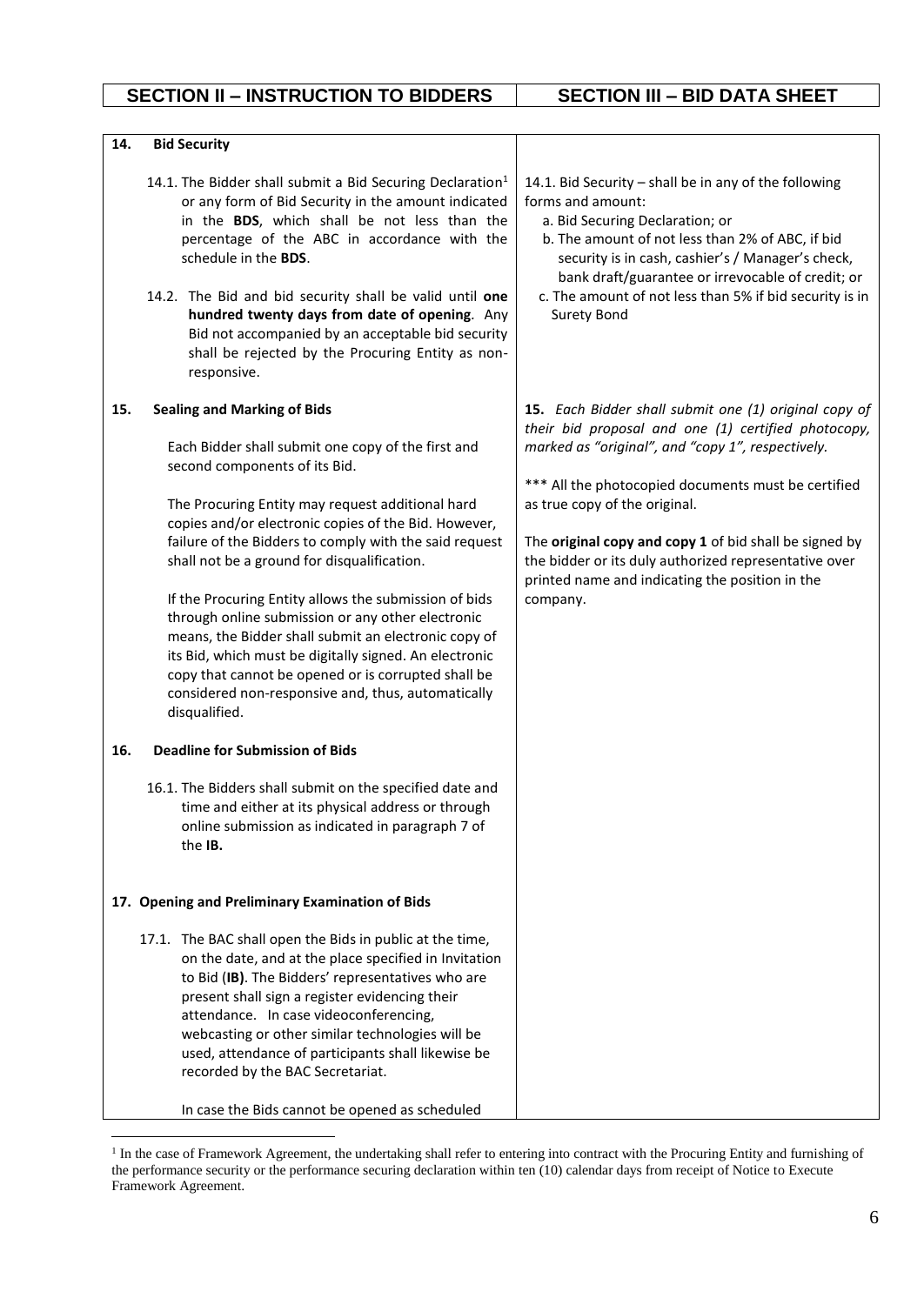| 14.        | <b>Bid Security</b>                                                                                                                                                                                                                                                                                                                                                                                                                                                                                                                                                                                                                                                                                                                                    |                                                                                                                                                                                                                                                                                                                                                                                                                                             |
|------------|--------------------------------------------------------------------------------------------------------------------------------------------------------------------------------------------------------------------------------------------------------------------------------------------------------------------------------------------------------------------------------------------------------------------------------------------------------------------------------------------------------------------------------------------------------------------------------------------------------------------------------------------------------------------------------------------------------------------------------------------------------|---------------------------------------------------------------------------------------------------------------------------------------------------------------------------------------------------------------------------------------------------------------------------------------------------------------------------------------------------------------------------------------------------------------------------------------------|
|            | 14.1. The Bidder shall submit a Bid Securing Declaration <sup>1</sup><br>or any form of Bid Security in the amount indicated<br>in the BDS, which shall be not less than the<br>percentage of the ABC in accordance with the<br>schedule in the <b>BDS</b> .<br>14.2. The Bid and bid security shall be valid until one<br>hundred twenty days from date of opening. Any<br>Bid not accompanied by an acceptable bid security<br>shall be rejected by the Procuring Entity as non-<br>responsive.                                                                                                                                                                                                                                                      | 14.1. Bid Security - shall be in any of the following<br>forms and amount:<br>a. Bid Securing Declaration; or<br>b. The amount of not less than 2% of ABC, if bid<br>security is in cash, cashier's / Manager's check,<br>bank draft/guarantee or irrevocable of credit; or<br>c. The amount of not less than 5% if bid security is in<br>Surety Bond                                                                                       |
| 15.<br>16. | <b>Sealing and Marking of Bids</b><br>Each Bidder shall submit one copy of the first and<br>second components of its Bid.<br>The Procuring Entity may request additional hard<br>copies and/or electronic copies of the Bid. However,<br>failure of the Bidders to comply with the said request<br>shall not be a ground for disqualification.<br>If the Procuring Entity allows the submission of bids<br>through online submission or any other electronic<br>means, the Bidder shall submit an electronic copy of<br>its Bid, which must be digitally signed. An electronic<br>copy that cannot be opened or is corrupted shall be<br>considered non-responsive and, thus, automatically<br>disqualified.<br><b>Deadline for Submission of Bids</b> | 15. Each Bidder shall submit one (1) original copy of<br>their bid proposal and one (1) certified photocopy,<br>marked as "original", and "copy 1", respectively.<br>*** All the photocopied documents must be certified<br>as true copy of the original.<br>The original copy and copy 1 of bid shall be signed by<br>the bidder or its duly authorized representative over<br>printed name and indicating the position in the<br>company. |
|            | 16.1. The Bidders shall submit on the specified date and<br>time and either at its physical address or through<br>online submission as indicated in paragraph 7 of<br>the IB.<br>17. Opening and Preliminary Examination of Bids<br>17.1. The BAC shall open the Bids in public at the time,<br>on the date, and at the place specified in Invitation<br>to Bid (IB). The Bidders' representatives who are                                                                                                                                                                                                                                                                                                                                             |                                                                                                                                                                                                                                                                                                                                                                                                                                             |
|            | present shall sign a register evidencing their<br>attendance. In case videoconferencing,<br>webcasting or other similar technologies will be<br>used, attendance of participants shall likewise be<br>recorded by the BAC Secretariat.<br>In case the Bids cannot be opened as scheduled                                                                                                                                                                                                                                                                                                                                                                                                                                                               |                                                                                                                                                                                                                                                                                                                                                                                                                                             |

1

<sup>&</sup>lt;sup>1</sup> In the case of Framework Agreement, the undertaking shall refer to entering into contract with the Procuring Entity and furnishing of the performance security or the performance securing declaration within ten (10) calendar days from receipt of Notice to Execute Framework Agreement.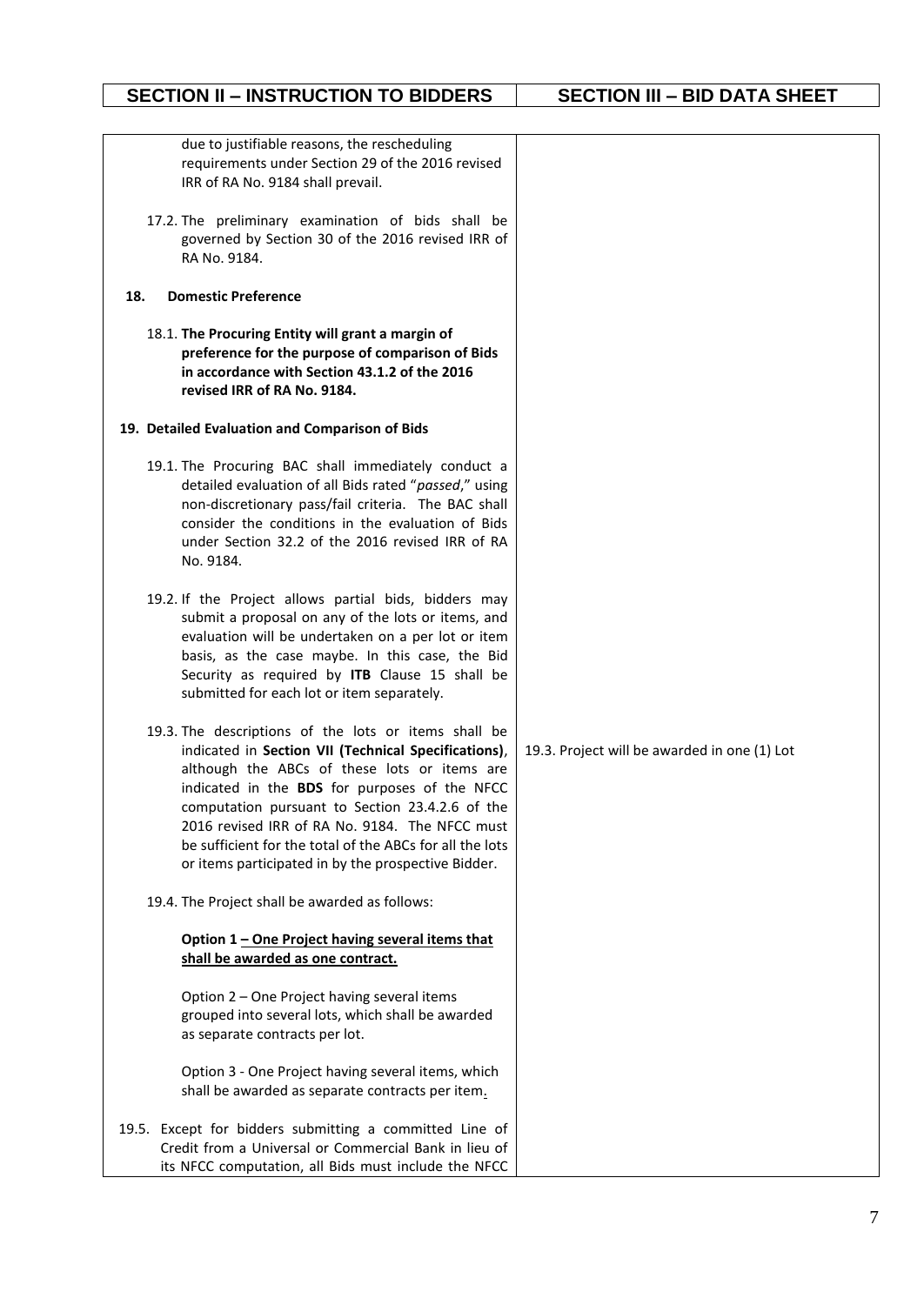| due to justifiable reasons, the rescheduling<br>requirements under Section 29 of the 2016 revised<br>IRR of RA No. 9184 shall prevail.                                                                                                                                                                                                                                                                                                |                                              |
|---------------------------------------------------------------------------------------------------------------------------------------------------------------------------------------------------------------------------------------------------------------------------------------------------------------------------------------------------------------------------------------------------------------------------------------|----------------------------------------------|
| 17.2. The preliminary examination of bids shall be<br>governed by Section 30 of the 2016 revised IRR of<br>RA No. 9184.                                                                                                                                                                                                                                                                                                               |                                              |
| 18.<br><b>Domestic Preference</b>                                                                                                                                                                                                                                                                                                                                                                                                     |                                              |
| 18.1. The Procuring Entity will grant a margin of<br>preference for the purpose of comparison of Bids<br>in accordance with Section 43.1.2 of the 2016<br>revised IRR of RA No. 9184.                                                                                                                                                                                                                                                 |                                              |
| 19. Detailed Evaluation and Comparison of Bids                                                                                                                                                                                                                                                                                                                                                                                        |                                              |
| 19.1. The Procuring BAC shall immediately conduct a<br>detailed evaluation of all Bids rated "passed," using<br>non-discretionary pass/fail criteria. The BAC shall<br>consider the conditions in the evaluation of Bids<br>under Section 32.2 of the 2016 revised IRR of RA<br>No. 9184.                                                                                                                                             |                                              |
| 19.2. If the Project allows partial bids, bidders may<br>submit a proposal on any of the lots or items, and<br>evaluation will be undertaken on a per lot or item<br>basis, as the case maybe. In this case, the Bid<br>Security as required by ITB Clause 15 shall be<br>submitted for each lot or item separately.                                                                                                                  |                                              |
| 19.3. The descriptions of the lots or items shall be<br>indicated in Section VII (Technical Specifications),<br>although the ABCs of these lots or items are<br>indicated in the BDS for purposes of the NFCC<br>computation pursuant to Section 23.4.2.6 of the<br>2016 revised IRR of RA No. 9184. The NFCC must<br>be sufficient for the total of the ABCs for all the lots<br>or items participated in by the prospective Bidder. | 19.3. Project will be awarded in one (1) Lot |
| 19.4. The Project shall be awarded as follows:                                                                                                                                                                                                                                                                                                                                                                                        |                                              |
| Option 1 - One Project having several items that<br>shall be awarded as one contract.                                                                                                                                                                                                                                                                                                                                                 |                                              |
| Option 2 - One Project having several items<br>grouped into several lots, which shall be awarded<br>as separate contracts per lot.                                                                                                                                                                                                                                                                                                    |                                              |
| Option 3 - One Project having several items, which<br>shall be awarded as separate contracts per item.                                                                                                                                                                                                                                                                                                                                |                                              |
| 19.5. Except for bidders submitting a committed Line of<br>Credit from a Universal or Commercial Bank in lieu of<br>its NFCC computation, all Bids must include the NFCC                                                                                                                                                                                                                                                              |                                              |